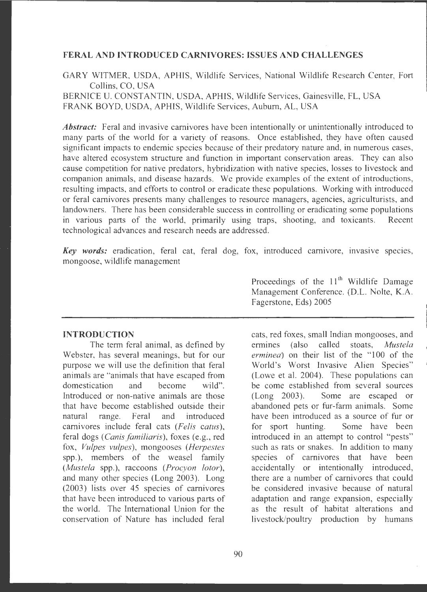## **FERAL AND INTRODUCED CARNIVORES: ISSUES AND CHALLENGES**

GARY WITMER, USDA, APHIS, Wildlife Services, National Wildlife Research Center, Fort Collins, CO, USA

BERNICE U. CONSTANTIN, USDA, APHIS, Wildlife Services, Gainesville, FL, USA FRANK BOYD, USDA, APHIS, Wildlife Services, Auburn, AL, USA

*Abstract:* Feral and invasive carnivores have been intentionally or unintentionally introduced to many parts of the world for a variety of reasons. Once established, they have often caused significant impacts to endemic species because of their predatory nature and, in numerous cases, have altered ecosystem structure and function in important conservation areas. They can also cause competition for native predators, hybridization with native species, losses to livestock and companion animals, and disease hazards. We provide examples of the extent of introductions, resulting impacts, and efforts to control or eradicate these populations. Working with introduced or feral carnivores presents many challenges to resource managers, agencies, agriculturists, and landowners. There has been considerable success in controlling or eradicating some populations in various parts of the world, primarily using traps, shooting, and toxicants. Recent technological advances and research needs are addressed.

*Key words:* eradication, feral cat, feral dog, fox, introduced carnivore, invasive species, mongoose, wildlife management

## **INTRODUCTION**

The term feral animal, as defined by Webster, has several meanings, but for our purpose we will use the definition that feral animals are "animals that have escaped from domestication and become wild". Introduced or non-native animals are those that have become established outside their natural range. Feral and introduced carnivores include feral cats *(Felis catus),*  feral dogs (Canis familiaris), foxes (e.g., red fox, *Vulpes vulpes),* mongooses *(Herpestes*  spp.), members of the weasel family *(Mustela* spp.), raccoons *(Procyon lotor),*  and many other species (Long 2003). Long (2003) lists over 45 species of carnivores that have been introduced to various parts of the world. The International Union for the conservation of Nature has included feral

Proceedings of the  $11<sup>th</sup>$  Wildlife Damage Management Conference. (D.L. Nolte, K.A. Fagerstone, Eds) 2005

cats, red foxes, small Indian mongooses, and ermines (also called stoats, *Mustela erminea)* on their list of the "100 of the World's Worst Invasive Alien Species" (Lowe et al. 2004). These populations can be come established from several sources (Long 2003). Some are escaped or abandoned pets or fur-farm animals. Some have been introduced as a source of fur or for sport hunting. Some have been introduced in an attempt to control "pests" such as rats or snakes. In addition to many species of carnivores that have been accidentally or intentionally introduced, there are a number of carnivores that could be considered invasive because of natural adaptation and range expansion, especially as the result of habitat alterations and livestock/poultry production by humans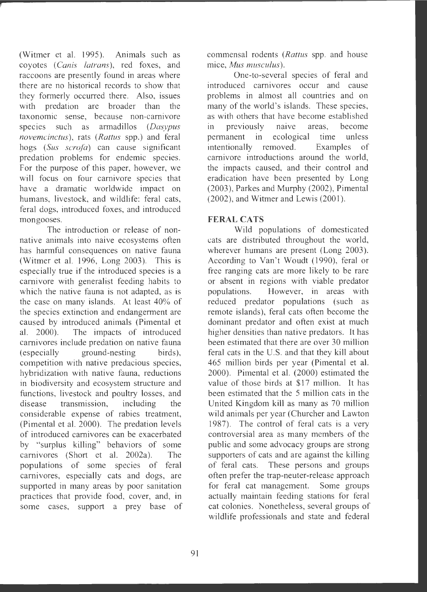(Witmer et al. 1995). Animals such as coyotes (Canis latrans), red foxes, and raccoons are presently found in areas where there are no historical records to show that they formerly occurred there. Also, issues with predation are broader than the taxonomic sense, because non-carnivore species such as armadillos *(Dasypus nov emcinctus),* rats *(Rattus* spp.) and feral hogs (Sus *scrofa)* can cause significant predation problems for endemic species. For the purpose of this paper, however, we will focus on four carnivore species that have a dramatic worldwide impact on humans, livestock, and wildlife: feral cats, feral dogs, introduced foxes, and introduced mongooses.

The introduction or release of nonnative animals into naive ecosystems often has harmful consequences on native fauna (Witmer et al. 1996, Long 2003). This is especially true if the introduced species is a carnivore with generalist feeding habits to which the native fauna is not adapted, as is the case on many islands. At least 40% of the species extinction and endangerment are caused by introduced animals (Pimental et al. 2000). The impacts of introduced carnivores include predation on native fauna (especially ground-nesting birds), competition with native predacious species, hybridization with native fauna, reductions in biodiversity and ecosystem structure and functions, livestock and poultry losses, and disease transmission, including the considerable expense of rabies treatment, (Pimental et al. 2000). The predation levels of introduced carnivores can be exacerbated by "surplus killing" behaviors of some carnivores (Short et al. 2002a). The populations of some species of feral carnivores, especially cats and dogs, are supported in many areas by poor sanitation practices that provide food, cover, and, in some cases, support a prey base of commensal rodents *(Rattus* spp. and house mice, *Mus musculus*).

One-to-several species of feral and introduced carnivores occur and cause problems in almost all countries and on many of the world's islands. These species, as with others that have become established in previously naive areas, become permanent in ecological time unless intentionally removed. Examples of carnivore introductions around the world, the impacts caused, and their control and eradication have been presented by Long (2003) , Parkes and Murphy (2002) , Pimental  $(2002)$ , and Witmer and Lewis  $(2001)$ .

# **FERAL CATS**

Wild populations of domesticated cats are distributed throughout the world, wherever humans are present (Long 2003). According to Van't Woudt (1990), feral or free ranging cats are more likely to be rare or absent in regions with viable predator populations. However, in areas with reduced predator populations (such as remote islands), feral cats often become the dominant predator and often exist at much higher densities than native predators. It has been estimated that there are over 30 million feral cats in the U.S. and that they kill about 465 million birds per year (Pimental et al. 2000). Pimental et al. (2000) estimated the value of those birds at \$17 million. It has been estimated that the 5 million cats in the United Kingdom kill as many as 70 million wild animals per year (Churcher and Lawton 1987). The control of feral cats is a very controversial area as many members of the public and some advocacy groups are strong supporters of cats and are against the killing of feral cats. These persons and groups often prefer the trap-neuter-release approach for feral cat management. Some groups actually maintain feeding stations for feral cat colonies. Nonetheless, several groups of wildlife professionals and state and federal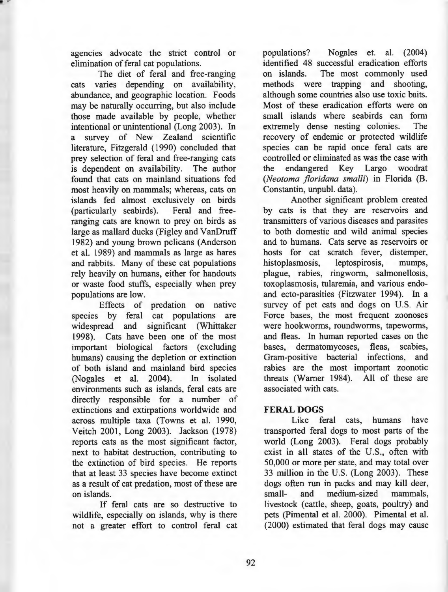agencies advocate the strict control or elimination of feral cat populations.

The diet of feral and free-ranging cats varies depending on availability, abundance, and geographic location. Foods may be naturally occurring, but also include those made available by people, whether intentional or unintentional (Long 2003). In a survey of New Zealand scientific literature, Fitzgerald (1990) concluded that prey selection of feral and free-ranging cats is dependent on availability. The author found that cats on mainland situations fed most heavily on mammals; whereas, cats on islands fed almost exclusively on birds (particularly seabirds). Feral and freeranging cats are known to prey on birds as large as mallard ducks (Figley and VanDruff 1982) and young brown pelicans (Anderson et al. 1989) and mammals as large as hares and rabbits. Many of these cat populations rely heavily on humans, either for handouts or waste food stuffs, especially when prey populations are low.

Effects of predation on native species by feral cat populations are widespread and significant (Whittaker 1998). Cats have been one of the most important biological factors (excluding humans) causing the depletion or extinction of both island and mainland bird species (Nogales et al. 2004). In isolated environments such as islands, feral cats are directly responsible for a number of extinctions and extirpations worldwide and across multiple taxa (Towns et al. 1990, Veitch 2001, Long 2003). Jackson (1978) reports cats as the most significant factor, next to habitat destruction, contributing to the extinction of bird species. He reports that at least 33 species have become extinct as a result of cat predation, most of these are on islands.

If feral cats are so destructive to wildlife, especially on islands, why is there not a greater effort to control feral cat

populations? Nogales et. al. (2004) identified 48 successful eradication efforts on islands. The most commonly used methods were trapping and shooting, although some countries also use toxic baits. Most of these eradication efforts were on small islands where seabirds can form extremely dense nesting colonies. The recovery of endemic or protected wildlife species can be rapid once feral cats are controlled or eliminated as was the case with the endangered Key Largo woodrat *(Neotoma jloridana smalli)* in Florida (B. Constantin, unpubl. data).

Another significant problem created by cats is that they are reservoirs and transmitters of various diseases and parasites to both domestic and wild animal species and to humans. Cats serve as reservoirs or hosts for cat scratch fever, distemper, histoplasmosis, leptospirosis, mumps, plague, rabies, ringworm, salmonellosis, toxoplasmosis, tularemia, and various endoand ecto-parasities (Fitzwater 1994). In a survey of pet cats and dogs on U.S. Air Force bases, the most frequent zoonoses were hookworms, roundworms, tapeworms, and fleas. In human reported cases on the bases, dermatomycoses, fleas, scabies, Gram-positive bacterial infections, and rabies are the most important zoonotic threats (Warner 1984). All of these are associated with cats.

## **FERAL DOGS**

Like feral cats, humans have transported feral dogs to most parts of the world (Long 2003). Feral dogs probably exist in all states of the U.S., often with 50,000 or more per state, and may total over 33 million in the U.S. (Long 2003). These dogs often run in packs and may kill deer, small- and medium-sized mammals, livestock ( cattle, sheep, goats, poultry) and pets (Pimental et al. 2000). Pimental et al. (2000) estimated that feral dogs may cause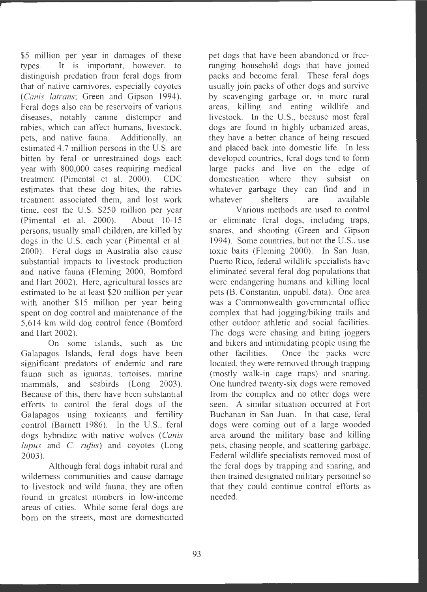\$5 million per year in damages of these types. It is important, however, to distinguish predation from feral dogs from that of native carnivores, especially coyotes (*Canis latrans*; Green and Gipson 1994). Feral dogs also can be reservoirs of various diseases, notably canine distemper and rabies, which can affect humans, livestock, pets, and native fauna. Additionally, an estimated 4.7 million persons in the U.S. are bitten by feral or unrestrained dogs each year with 800,000 cases requiring medical treatment (Pimental et al. 2000). CDC estimates that these dog bites, the rabies treatment associated them, and lost work time, cost the U.S. \$250 million per year (Pimental et al. 2000). About  $10-15$ persons, usually small children, are killed by dogs in the U.S. each year (Pimental et al. 2000). Feral dogs in Australia also cause substantial impacts to livestock production and native fauna (Fleming 2000, Bomford and Hart 2002). Here, agricultural losses are estimated to be at least \$20 million per year with another \$15 million per year being spent on dog control and maintenance of the 5,614 km wild dog control fence (Bomford and Hart 2002).

On some islands, such as the Galapagos Islands, feral dogs have been significant predators of endemic and rare fauna such as iguanas, tortoises, marine mammals, and seabirds (Long 2003). Because of this, there have been substantial efforts to control the feral dogs of the Galapagos using toxicants and fertility control (Barnett 1986). In the U.S., feral dogs hybridize with native wolves *(Canis lupus* and C. *rufus)* and coyotes (Long 2003).

Although feral dogs inhabit rural and wilderness communities and cause damage to livestock and wild fauna, they are often found in greatest numbers in low-income areas of cities. While some feral dogs are born on the streets, most are domesticated

pet dogs that have been abandoned or freeranging household dogs that have joined packs and become feral. These feral dogs usually join packs of other dogs and survive by scavenging garbage or, in more rural areas , killing and eating wildlife and livestock. In the U.S., because most feral dogs are found in highly urbanized areas, they have a better chance of being rescued and placed back into domestic life. In less developed countries, feral dogs tend to form large packs and live on the edge of domestication where they subsist on whatever garbage they can find and in whatever shelters are available

Various methods are used to control or eliminate feral dogs, including traps, snares, and shooting (Green and Gipson 1994). Some countries, but not the U.S., use toxic baits (Fleming 2000). In San Juan, Puerto Rico, federal wildlife specialists have eliminated several feral dog populations that were endangering humans and killing local pets (B. Constantin, unpubl. data). One area was a Commonwealth governmental office complex that had jogging/biking trails and other outdoor athletic and social facilities. The dogs were chasing and biting joggers and bikers and intimidating people using the other facilities. Once the packs were located, they were removed through trapping (mostly walk-in cage traps) and snaring. One hundred twenty-six dogs were removed from the complex and no other dogs were seen. A similar situation occurred at Fort Buchanan in San Juan. In that case, feral dogs were coming out of a large wooded area around the military base and killing pets, chasing people, and scattering garbage. Federal wildlife specialists removed most of the feral dogs by trapping and snaring, and then trained designated military personnel so that they could continue control efforts as needed.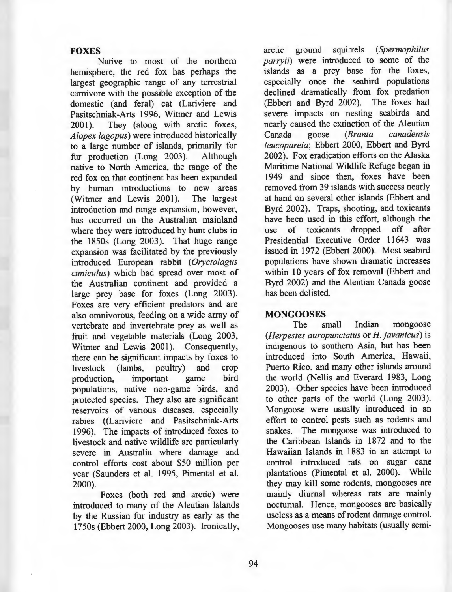## **FOXES**

Native to most of the northern hemisphere, the red fox has perhaps the largest geographic range of any terrestrial carnivore with the possible exception of the domestic (and feral) cat (Lariviere and Pasitschniak-Arts 1996, Witmer and Lewis 2001). They (along with arctic foxes, *Alopex lagopus)* were introduced historically to a large number of islands, primarily for<br>fur production (Long 2003). Although fur production  $(Long 2003)$ . native to North America, the range of the red fox on that continent has been expanded by human introductions to new areas<br>(Witmer and Lewis 2001). The largest (Witmer and Lewis  $2001$ ). introduction and range expansion, however, has occurred on the Australian mainland where they were introduced by hunt clubs in the 1850s (Long 2003). That huge range expansion was facilitated by the previously introduced European rabbit ( *Oryctolagus cuniculus)* which had spread over most of the Australian continent and provided a large prey base for foxes (Long 2003). Foxes are very efficient predators and are also omnivorous, feeding on a wide array of vertebrate and invertebrate prey as well as fruit and vegetable materials (Long 2003, Witmer and Lewis 2001). Consequently, there can be significant impacts by foxes to livestock (lambs, poultry) and crop production, important game bird populations, native non-game birds, and protected species. They also are significant reservoirs of various diseases, especially rabies ((Lariviere and Pasitschniak-Arts 1996). The impacts of introduced foxes to livestock and native wildlife are particularly severe in Australia where damage and control efforts cost about \$50 million per year (Saunders et al. 1995, Pimental et al. 2000).

Foxes (both red and arctic) were introduced to many of the Aleutian Islands by the Russian fur industry as early as the 1750s (Ebbert 2000, Long 2003). Ironically,

arctic ground squirrels *(Spermophilus parryii)* were introduced to some of the islands as a prey base for the foxes, especially once the seabird populations declined dramatically from fox predation (Ebbert and Byrd 2002). The foxes had severe impacts on nesting seabirds and nearly caused the extinction of the Aleutian Canada goose *(Branta canadensis leucopareia ;* Ebbert 2000, Ebbert and Byrd 2002). Fox eradication efforts on the Alaska Maritime National Wildlife Refuge began in 1949 and since then, foxes have been removed from 39 islands with success nearly at hand on several other islands (Ebbert and Byrd 2002). Traps, shooting, and toxicants have been used in this effort, although the use of toxicants dropped off after Presidential Executive Order 11643 was issued in 1972 (Ebbert 2000). Most seabird populations have shown dramatic increases within 10 years of fox removal (Ebbert and Byrd 2002) and the Aleutian Canada goose has been delisted.

#### **MONGOOSES**

The small Indian mongoose *(Herpestes auropunctatus* or *H. javanicus)* is indigenous to southern Asia, but has been introduced into South America, Hawaii, Puerto Rico, and many other islands around the world (Nellis and Everard 1983, Long 2003). Other species have been introduced to other parts of the world (Long 2003). Mongoose were usually introduced in an effort to control pests such as rodents and snakes. The mongoose was introduced to the Caribbean Islands in 1872 and to the Hawaiian Islands in 1883 in an attempt to control introduced rats on sugar cane <sup>p</sup>lantations (Pimental et al. 2000). While they may kill some rodents, mongooses are mainly diurnal whereas rats are mainly nocturnal. Hence, mongooses are basically useless as a means of rodent damage control. Mongooses use many habitats (usually semi-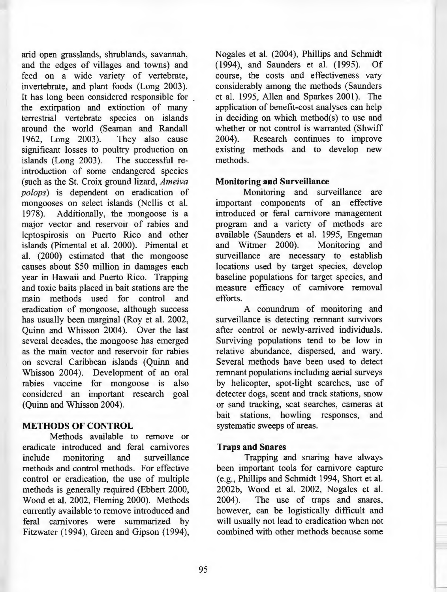arid open grasslands, shrublands, savannah, and the edges of villages and towns) and feed on a wide variety of vertebrate, invertebrate, and plant foods (Long 2003). It has long been considered responsible for the extirpation and extinction of many terrestrial vertebrate species on islands around the world (Seaman and Randall 1962, Long 2003). They also cause 1962, Long 2003). significant losses to poultry production on islands (Long 2003). The successful reintroduction of some endangered species (such as the St. Croix ground lizard, *Ameiva po/ops)* is dependent on eradication of mongooses on select islands (Nellis et al. 1978). Additionally, the mongoose is a major vector and reservoir of rabies and leptospirosis on Puerto Rico and other islands (Pimental et al. 2000). Pimental et al. (2000) estimated that the mongoose causes about \$50 million in damages each year in Hawaii and Puerto Rico. Trapping and toxic baits placed in bait stations are the main methods used for control and eradication of mongoose, although success has usually been marginal (Roy et al. 2002, Quinn and Whisson 2004). Over the last several decades, the mongoose has emerged as the main vector and reservoir for rabies on several Caribbean islands (Quinn and Whisson 2004). Development of an oral rabies vaccine for mongoose is also considered an important research goal (Quinn and Whisson 2004).

## **METHODS OF CONTROL**

Methods available to remove or eradicate introduced and feral carnivores include monitoring and surveillance methods and control methods. For effective control or eradication, the use of multiple methods is generally required (Ebbert 2000, Wood et al. 2002, Fleming 2000). Methods currently available to remove introduced and feral carnivores were summarized by Fitzwater (1994), Green and Gipson (1994), Nogales et al. (2004), Phillips and Schmidt (1994), and Saunders et al. (1995). Of course, the costs and effectiveness vary considerably among the methods (Saunders et al. 1995, Allen and Sparkes 2001). The application of benefit-cost analyses can help in deciding on which method $(s)$  to use and whether or not control is warranted (Shwiff 2004). Research continues to improve existing methods and to develop new methods.

## **Monitoring and Surveillance**

Monitoring and surveillance are important components of an effective introduced or feral carnivore management program and a variety of methods are available (Saunders et al. 1995, Engeman<br>and Witmer 2000). Monitoring and and Witmer 2000). surveillance are necessary to establish locations used by target species, develop baseline populations for target species, and measure efficacy of carnivore removal efforts.

A conundrum of monitoring and surveillance is detecting remnant survivors after control or newly-arrived individuals. Surviving populations tend to be low in relative abundance, dispersed, and wary. Several methods have been used to detect remnant populations including aerial surveys by helicopter, spot-light searches, use of detecter dogs, scent and track stations, snow or sand tracking, scat searches, cameras at bait stations, howling responses, and systematic sweeps of areas.

## **Traps and Snares**

Trapping and snaring have always been important tools for carnivore capture ( e.g., Phillips and Schmidt 1994, Short et al. 2002b, Wood et al. 2002, Nogales et al. 2004). The use of traps and snares, however, can be logistically difficult and will usually not lead to eradication when not combined with other methods because some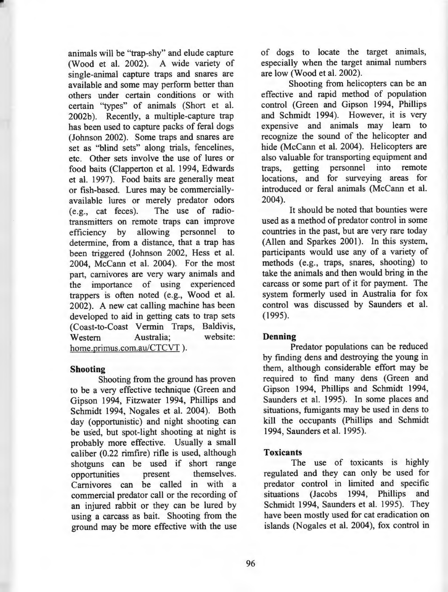animals will be "trap-shy" and elude capture (Wood et al. 2002). A wide variety of single-animal capture traps and snares are available and some may perform better than others under certain conditions or with certain "types" of animals (Short et al. 2002b). Recently, a multiple-capture trap has been used to capture packs of feral dogs (Johnson 2002). Some traps and snares are set as "blind sets" along trials, fencelines, etc. Other sets involve the use of lures or food baits (Clapperton et al. 1994, Edwards et al. 1997). Food baits are generally meat or fish-based. Lures may be commerciallyavailable lures or merely predator odors (e.g., cat feces). The use of radiotransmitters on remote traps can improve efficiency by allowing personnel to determine, from a distance, that a trap has been triggered (Johnson 2002, Hess et al. 2004, McCann et al. 2004). For the most part, carnivores are very wary animals and the importance of using experienced trappers is often noted (e.g., Wood et al. 2002). A new cat calling machine has been developed to aid in getting cats to trap sets (Coast-to-Coast Vermin Traps, Baldivis, Western Australia; website: home.primus.com.au/CTCVT).

#### **Shooting**

Shooting from the ground has proven to be a very effective technique (Green and Gipson 1994, Fitzwater 1994, Phillips and Schmidt 1994, Nogales et al. 2004). Both day (opportunistic) and night shooting can be used, but spot-light shooting at night is probably more effective. Usually a small caliber (0.22 rimfire) rifle is used, although shotguns can be used if short range<br>opportunities **present** themselves. opportunities present Carnivores can be called in with a commercial predator call or the recording of an injured rabbit or they can be lured by using a carcass as bait. Shooting from the ground may be more effective with the use of dogs to locate the target animals, especially when the target animal numbers are low (Wood et al. 2002).

Shooting from helicopters can be an effective and rapid method of population control (Green and Gipson 1994, Phillips and Schmidt 1994). However, it is very expensive and animals may learn to recognize the sound of the helicopter and hide (McCann et al. 2004). Helicopters are also valuable for transporting equipment and traps, getting personnel into remote locations, and for surveying areas for introduced or feral animals (McCann et al. 2004).

It should be noted that bounties were used as a method of predator control in some countries in the past, but are very rare today (Allen and Sparkes 2001). In this system, participants would use any of a variety of methods (e.g., traps, snares, shooting) to take the animals and then would bring in the carcass or some part of it for payment. The system formerly used in Australia for fox control was discussed by Saunders et al. (1995).

## **Denning**

Predator populations can be reduced by finding dens and destroying the young in them, although considerable effort may be required to find many dens (Green and Gipson 1994, Phillips and Schmidt 1994, Saunders et al. 1995). In some places and situations, fumigants may be used in dens to kill the occupants (Phillips and Schmidt 1994, Saunders et al. 1995).

#### **Toxicants**

The use of toxicants is highly regulated and they can only be used for predator control in limited and specific situations (Jacobs 1994, Phillips and Schmidt 1994, Saunders et al. 1995). They have been mostly used for cat eradication on islands (Nogales et al. 2004), fox control in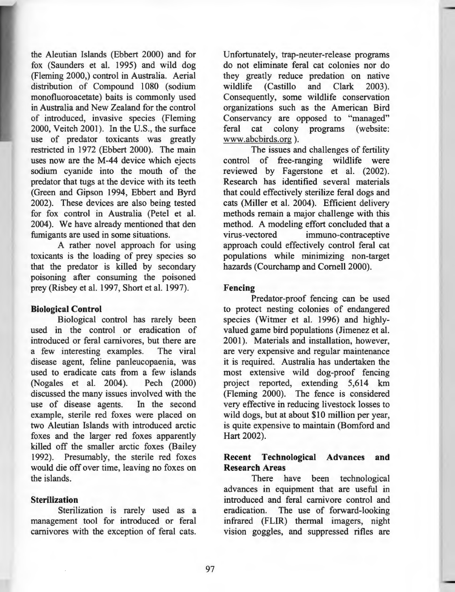the Aleutian Islands (Ebbert 2000) and for fox (Saunders et al. 1995) and wild dog (Fleming 2000,) control in Australia. Aerial distribution of Compound 1080 (sodium monofluoroacetate) baits is commonly used in Australia and New Zealand for the control of introduced, invasive species (Fleming 2000, Veitch 2001). In the U.S., the surface use of predator toxicants was greatly restricted in 1972 (Ebbert 2000). The main uses now are the M-44 device which ejects sodium cyanide into the mouth of the predator that tugs at the device with its teeth (Green and Gipson 1994, Ebbert and Byrd 2002). These devices are also being tested for fox control in Australia (Petel et al. 2004). We have already mentioned that den fumigants are used in some situations.

A rather novel approach for using toxicants is the loading of prey species so that the predator is killed by secondary poisoning after consuming the poisoned prey (Risbey et al. 1997, Short et al. 1997).

## **Biological Control**

Biological control has rarely been used in the control or eradication of introduced or feral carnivores, but there are a few interesting examples. The viral disease agent, feline panleucopaenia, was used to eradicate cats from a few islands (Nogales et al. 2004). Pech (2000) discussed the many issues involved with the use of disease agents. In the second example, sterile red foxes were placed on two Aleutian Islands with introduced arctic foxes and the larger red foxes apparently killed off the smaller arctic foxes (Bailey 1992). Presumably, the sterile red foxes would die off over time, leaving no foxes on the islands.

#### **Sterilization**

Sterilization is rarely used as a management tool for introduced or feral carnivores with the exception of feral cats.

Unfortunately, trap-neuter-release programs do not eliminate feral cat colonies nor do they greatly reduce predation on native wildlife (Castillo and Clark 2003). Consequently, some wildlife conservation organizations such as the American Bird Conservancy are opposed to "managed" feral cat colony programs (website: www.abcbirds.org ).

The issues and challenges of fertility control of free-ranging wildlife were reviewed by Fagerstone et al. (2002). Research has identified several materials that could effectively sterilize feral dogs and cats (Miller et al. 2004). Efficient delivery methods remain a major challenge with this method. A modeling effort concluded that a virus-vectored immuno-contraceptive approach could effectively control feral cat populations while minimizing non-target hazards (Courchamp and Cornell 2000).

#### **Fencing**

Predator-proof fencing can be used to protect nesting colonies of endangered species (Witmer et al. 1996) and highlyvalued game bird populations (Jimenez et al. 2001). Materials and installation, however, are very expensive and regular maintenance it is required. Australia has undertaken the most extensive wild dog-proof fencing project reported, extending 5,614 km (Fleming 2000). The fence is considered very effective in reducing livestock losses to wild dogs, but at about \$10 million per year, is quite expensive to maintain (Bomford and Hart 2002).

## **Recent Technological Advances and Research Areas**

There have been technological advances in equipment that are useful in introduced and feral carnivore control and eradication. The use of forward-looking infrared (FLIR) thermal imagers, night vision goggles, and suppressed rifles are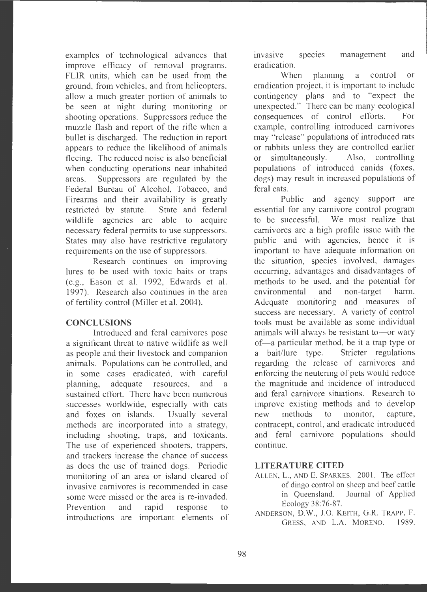examples of technological advances that improve efficacy of removal programs. FLIR units, which can be used from the ground, from vehicles, and from helicopters. allow a much greater portion of animals to be seen at night during monitoring or shooting operations. Suppressors reduce the muzzle flash and report of the rifle when a bullet is discharged. The reduction in report appears to reduce the likelihood of animals fleeing. The reduced noise is also beneficial when conducting operations near inhabited areas. Suppressors are regulated by the Federal Bureau of Alcohol, Tobacco, and Firearms and their availability is greatly restricted by statute. State and federal wildlife agencies are able to acquire necessary federal permits to use suppressors. States may also have restrictive regulatory requirements on the use of suppressors.

Research continues on improving lures to be used with toxic baits or traps ( e.g., Eason et al. 1992, Edwards et al. 1997). Research also continues in the area of fertility control (Miller et al. 2004).

### **CONCLUSIONS**

Introduced and feral carnivores pose a significant threat to native wildlife as well as people and their livestock and companion animals. Populations can be controlled, and in some cases eradicated, with careful planning, adequate resources, and a sustained effort. There have been numerous successes worldwide, especially with cats and foxes on islands. Usually several methods are incorporated into a strategy, including shooting, traps, and toxicants. The use of experienced shooters, trappers, and trackers increase the chance of success as does the use of trained dogs. Periodic monitoring of an area or island cleared of invasive carnivores is recommended in case some were missed or the area is re-invaded. Prevention and rapid response to introductions are important elements of invasive species management and eradication.

When planning a control or eradication project, it is important to include contingency plans and to "expect the unexpected." There can be many ecological consequences of control efforts. For example, controlling introduced carnivores may "release" populations of introduced rats or rabbits unless they are controlled earlier or simultaneously. Also, controlling populations of introduced canids (foxes, dogs) may result in increased populations of feral cats.

Public and agency support are essential for any carnivore control program to be successful. We must realize that carnivores are a high profile issue with the public and with agencies, hence it is important to have adequate information on the situation, species involved, damages occurring, advantages and disadvantages of methods to be used, and the potential for environmental and non-target harm. Adequate monitoring and measures of success are necessary. A variety of control tools must be available as some individual animals will always be resistant to-or wary of—a particular method, be it a trap type or a bait/lure type. Stricter regulations regarding the release of carnivores and enforcing the neutering of pets would reduce the magnitude and incidence of introduced and feral carnivore situations. Research to improve existing methods and to develop new methods to monitor, capture, contracept, control, and eradicate introduced and feral carnivore populations should continue.

## **LITERATURE CITED**

- ALLEN, L., AND E. SPARKES. 2001. The effect of dingo control on sheep and beef cattle in Queensland. Journal of Applied Ecology 38:76-87.
- ANDERSON, D.W., J.0 . KEITH, G.R. TRAPP, F. GRESS, AND L.A. MORENO. 1989.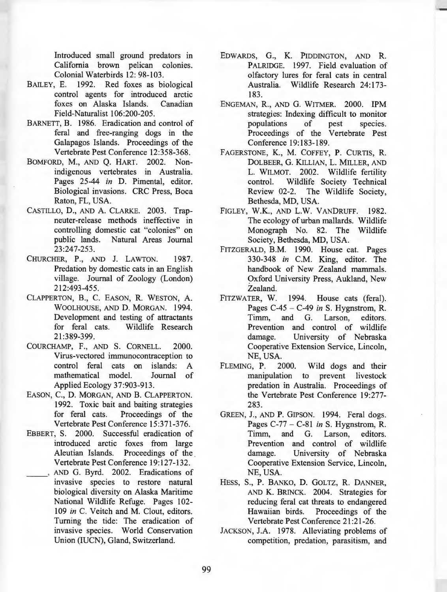Introduced small ground predators in California brown pelican colonies. Colonial Waterbirds 12: 98-103.

- BAILEY, E. 1992. Red foxes as biological control agents for introduced arctic foxes on Alaska Islands. Canadian Field-Naturalist 106:200-205.
- BARNETT, B. 1986. Eradication and control of feral and free-ranging dogs in the Galapagos Islands. Proceedings of the Vertebrate Pest Conference 12:358-368.
- BOMFORD, M., AND Q. HART. 2002. Nonindigenous vertebrates in Australia. Pages 25-44 *in* D. Pimental, editor. Biological invasions. CRC Press, Boca Raton, FL, USA.
- CASTILLO, **D.,** AND A. CLARKE. 2003. Trapneuter-release methods ineffective in controlling domestic cat "colonies" on public lands. Natural Areas Journal 23:247-253.
- CHURCHER, P., AND J. LAWTON. 1987. Predation by domestic cats in an English village. Journal of Zoology (London) 212:493-455.
- CLAPPERTON, **B.,** C. EASON, **R.** WESTON, A. WOOLHOUSE, AND D. MORGAN. 1994. Development and testing of attractants for feral cats. Wildlife Research 21 :389-399.
- COURCHAMP, F., AND S. CORNELL. 2000. Virus-vectored immunocontraception to control feral cats on islands: A mathematical model. Journal of Applied Ecology 37:903-913.
- EASON, C., **D.** MORGAN, AND **B.** CLAPPERTON. 1992. Toxic bait and baiting strategies for feral cats. Proceedings of the Vertebrate Pest Conference 15:371-376 .
- EBBERT, S. 2000. Successful eradication of introduced arctic foxes from large Aleutian Islands. Proceedings of the Vertebrate Pest Conference 19:127-132.
- AND G. Byrd. 2002. Eradications of invasive species to restore natural biological diversity on Alaska Maritime National Wildlife Refuge. Pages 102- 109 *in* C. Veitch and M. Clout, editors. Turning the tide: The eradication of invasive species. World Conservation Union (IUCN), Gland, Switzerland.
- EDWARDS, G., K. PIDDINGTON, AND **R.**  PALRIDGE. 1997. Field evaluation of olfactory lures for feral cats in central Australia. Wildlife Research 24:173-183.
- ENGEMAN, **R.,** AND G. WITMER. 2000. IPM strategies: Indexing difficult to monitor populations of pest species. Proceedings of the Vertebrate Pest Conference 19:183-189 .
- FAGERSTONE, **K., M.** COFFEY, **P.** CURTIS, **R.**  DOLBEER, G. KILLIAN, L. MILLER, AND L. WILMOT. 2002. Wildlife fertility control. Wildlife Society Technical Review 02-2. The Wildlife Society, Bethesda, MD, USA.
- FIGLEY, **W.K.,** AND L.W. VANDRUFF. 1982. The ecology of urban mallards. Wildlife Monograph No. 82. The Wildlife Society, Bethesda, MD, USA.
- FITZGERALD, **B.M.** 1990. House cat. Pages 330-348 *in* C.M. King, editor. The handbook of New Zealand mammals. Oxford University Press, Aukland, New Zealand.
- FITZWATER, W. 1994. House cats (feral). Pages C-45 - C-49 *in* S. Hygnstrom, R. Timm, and G. Larson, editors. Prevention and control of wildlife damage. University of Nebraska Cooperative Extension Service, Lincoln, NE, USA.
- FLEMING, P. 2000. Wild dogs and their manipulation to prevent livestock predation in Australia. Proceedings of the Vertebrate Pest Conference 19:277- 283.
- GREEN, J., AND P. GIPSON. 1994. Feral dogs. Pages  $C-77 - C-81$  *in* S. Hygnstrom, R. Timm, and G. Larson, editors. Prevention and control of wildlife damage. University of Nebraska Cooperative Extension Service, Lincoln, NE, USA.
- HESS, S., P. BANKO, D. GOLTZ, R. DANNER, AND K. BRINCK. 2004. Strategies for reducing feral cat threats to endangered<br>Hawaiian birds. Proceedings of the Proceedings of the Vertebrate Pest Conference 21 :21-26.
- JACKSON, J.A. 1978. Alleviating problems of competition, predation, parasitism, and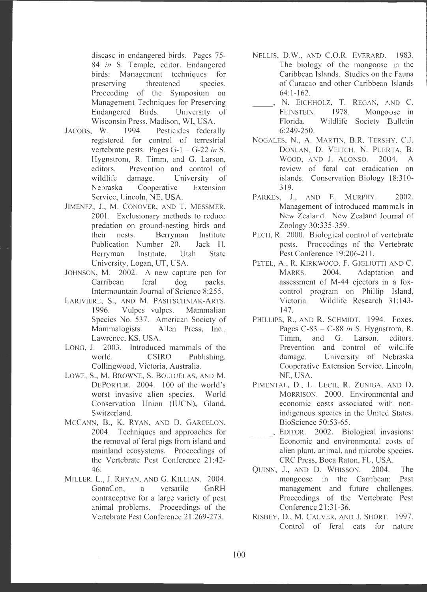disease in endangered birds. Pages 75- 84 *in* S. Temple, editor. Endangered birds: Management techniques for preserving threatened species. Proceeding of the Symposium on Management Techniques for Preserving Endangered Birds. University of Wisconsin Press, Madison, WI, USA.

- JACOBS, W. 1994. Pesticides federally registered for control of terrestrial vertebrate pests. Pages G-1 - G-22 *in* S. Hygnstrom, R. Timm, and G. Larson, editors. Prevention and control of wildlife damage. University of Nebraska Cooperative Extension Service, Lincoln, NE, USA.
- JIMENEZ, J., M. CONOVER, AND *T.* MESSMER. 2001. Exclusionary methods to reduce predation on ground-nesting birds and their nests. Berryman Institute Publication Number 20. Jack H. Berryman Institute, Utah State University, Logan, UT, USA.
- JOHNSON, M. 2002. A new capture pen for Carribean feral dog packs. lntermountain Journal of Science 8:255 .
- LARIVIERE, S., AND M. PASITSCHNIAK-ARTS. 1996. Vulpes vulpes. Mammalian Species No. 537. American Society of Mammalogists. Allen Press, Inc., Lawrence, KS, USA.
- LONG, J. 2003. Introduced mammals of the world. **CSIRO** Publishing. Collingwood, Victoria, Australia.
- LOWE, **S., M.** BROWNE, S. BOUDJELAS, AND **M.**  DEPORTER. 2004. 100 of the world's worst invasive alien species. World Conservation Union (IUCN), Gland, Switzerland.
- MCCANN, B., K. RYAN, AND D. GARCELON. 2004. Techniques and approaches for the removal of feral pigs from island and mainland ecosystems. Proceedings of the Vertebrate Pest Conference 21 :42- 46.
- MILLER, L., J. RHYAN, AND G. KILLIAN. 2004. GonaCon, a versatile GnRH contraceptive for a large variety of pest animal problems. Proceedings of the Vertebrate Pest Conference 21:269-273.
- NELLIS, D.W., AND C.O.R. EVERARD. 1983. The biology of the mongoose in the Caribbean Islands. Studies on the Fauna of Curacao and other Caribbean Islands  $64:1-162.$ 
	- N. EICHHOLZ, T. REGAN, AND C. FEINSTEIN. 1978. Mongo ose in Florida . Wildlife Society Bulletin 6:249-250.
- NOGALES, N. , A. MARTIN, B.R. TERSHY, C.J. DONLAN, D. VEITCH, N. PUERTA, B. WOOD, AND J. ALONSO. 2004. A review of feral cat eradication on islands. Conservation Biology 18:310-319.
- PARKES, J., AND E. MURPHY. 2002. Management of introduced mammals in New Zealand. New Zealand Journal of Zoology 30:335-359 .
- PECH, R. 2000. Biological control of vertebrate pests. Proceedings of the Vertebrate Pest Conference 19:206-211.
- PETEL, A., R. KIRKWOOD, F. GIGLIOTTI AND C. MARKS. 2004. Adaptation and assessment of M-44 ejectors in a foxcontrol program on Phillip Island, Victoria. Wildlife Research 31:143-147.
- PHILLIPS, R., AND R. SCHMIDT. 1994. Foxes. Pages C-83 - C-88 *in* S. Hygnstrom, **R.**  Timm, and G. Larson, editors. Prevention and control of wildlife damage. University of Nebraska Cooperative Extension Service, Lincoln, NE, USA.
- PIMENTAL, D., L. LECH, **R.** ZUNIGA, AND **D.**  MORRISON. 2000. Environmental and economic costs associated with nonindigenous species in the United States. BioScience 50:53-65.
- -- ' EDITOR. 2002. Biological invasions: Economic and environmental costs of alien plant, animal, and microbe species. CRC Press, Boca Raton, FL, USA.
- QUINN, J., AND D. WHJSSON. 2004. The mongoose in the Carribean: Past management and future challenges. Proceedings of the Vertebrate Pest Conference 21 :31-36.
- R!SBEY, D., M. CALVER, AND J. SHORT. 1997. Control of feral cats for nature